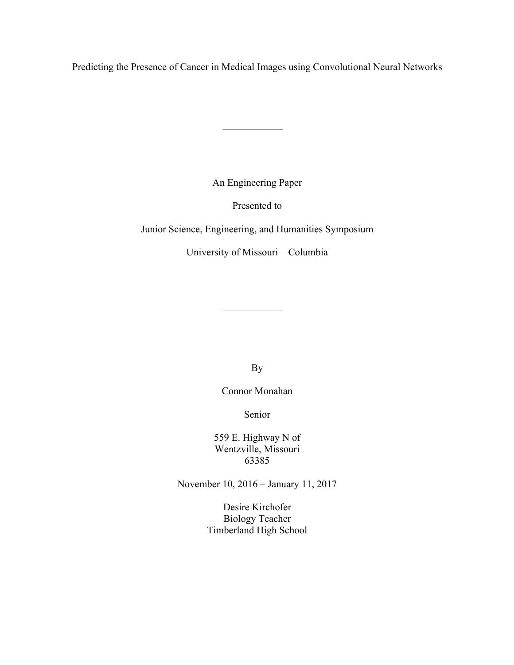Predicting the Presence of Cancer in Medical Images using Convolutional Neural Networks

An Engineering Paper

Presented to

Junior Science, Engineering, and Humanities Symposium

University of Missouri—Columbia

By

Connor Monahan

Senior

559 E. Highway N of Wentzville, Missouri 63385

November 10, 2016 – January 11, 2017

Desire Kirchofer Biology Teacher Timberland High School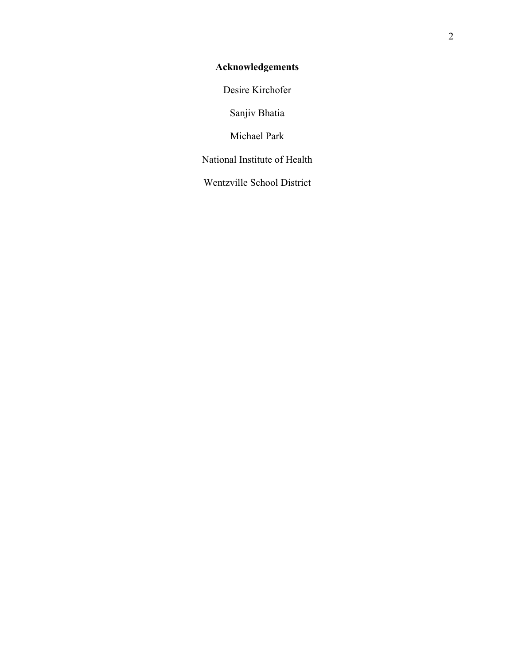# **Acknowledgements**

Desire Kirchofer

Sanjiv Bhatia

Michael Park

National Institute of Health

Wentzville School District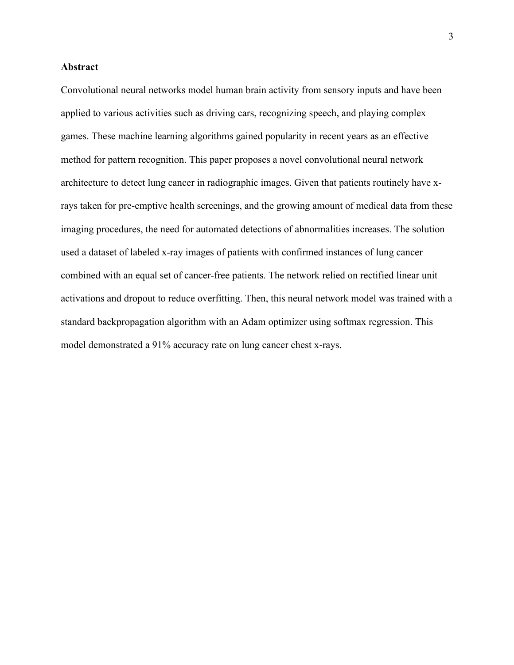## **Abstract**

Convolutional neural networks model human brain activity from sensory inputs and have been applied to various activities such as driving cars, recognizing speech, and playing complex games. These machine learning algorithms gained popularity in recent years as an effective method for pattern recognition. This paper proposes a novel convolutional neural network architecture to detect lung cancer in radiographic images. Given that patients routinely have xrays taken for pre-emptive health screenings, and the growing amount of medical data from these imaging procedures, the need for automated detections of abnormalities increases. The solution used a dataset of labeled x-ray images of patients with confirmed instances of lung cancer combined with an equal set of cancer-free patients. The network relied on rectified linear unit activations and dropout to reduce overfitting. Then, this neural network model was trained with a standard backpropagation algorithm with an Adam optimizer using softmax regression. This model demonstrated a 91% accuracy rate on lung cancer chest x-rays.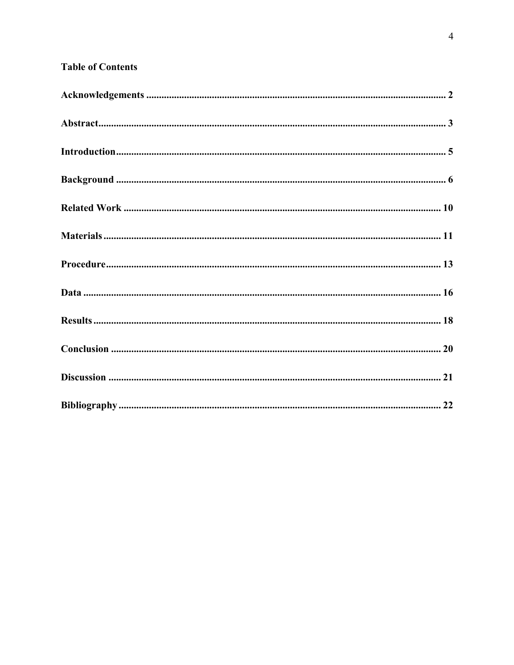## **Table of Contents**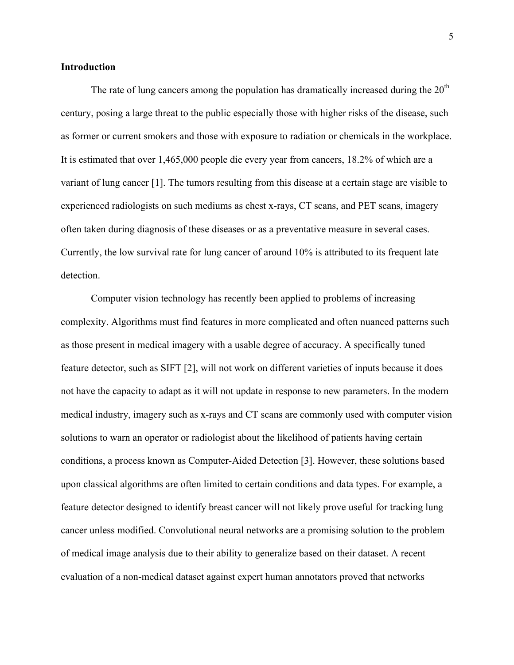### **Introduction**

The rate of lung cancers among the population has dramatically increased during the  $20<sup>th</sup>$ century, posing a large threat to the public especially those with higher risks of the disease, such as former or current smokers and those with exposure to radiation or chemicals in the workplace. It is estimated that over 1,465,000 people die every year from cancers, 18.2% of which are a variant of lung cancer [1]. The tumors resulting from this disease at a certain stage are visible to experienced radiologists on such mediums as chest x-rays, CT scans, and PET scans, imagery often taken during diagnosis of these diseases or as a preventative measure in several cases. Currently, the low survival rate for lung cancer of around 10% is attributed to its frequent late detection.

Computer vision technology has recently been applied to problems of increasing complexity. Algorithms must find features in more complicated and often nuanced patterns such as those present in medical imagery with a usable degree of accuracy. A specifically tuned feature detector, such as SIFT [2], will not work on different varieties of inputs because it does not have the capacity to adapt as it will not update in response to new parameters. In the modern medical industry, imagery such as x-rays and CT scans are commonly used with computer vision solutions to warn an operator or radiologist about the likelihood of patients having certain conditions, a process known as Computer-Aided Detection [3]. However, these solutions based upon classical algorithms are often limited to certain conditions and data types. For example, a feature detector designed to identify breast cancer will not likely prove useful for tracking lung cancer unless modified. Convolutional neural networks are a promising solution to the problem of medical image analysis due to their ability to generalize based on their dataset. A recent evaluation of a non-medical dataset against expert human annotators proved that networks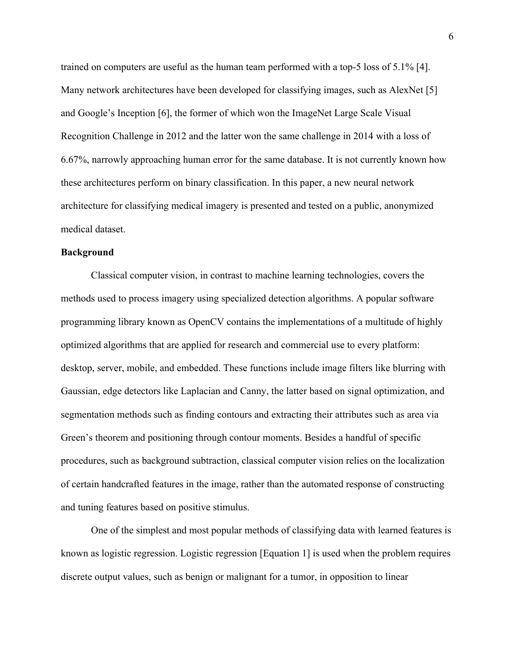trained on computers are useful as the human team performed with a top-5 loss of 5.1% [4]. Many network architectures have been developed for classifying images, such as AlexNet [5] and Google's Inception [6], the former of which won the ImageNet Large Scale Visual Recognition Challenge in 2012 and the latter won the same challenge in 2014 with a loss of 6.67%, narrowly approaching human error for the same database. It is not currently known how these architectures perform on binary classification. In this paper, a new neural network architecture for classifying medical imagery is presented and tested on a public, anonymized medical dataset.

### **Background**

Classical computer vision, in contrast to machine learning technologies, covers the methods used to process imagery using specialized detection algorithms. A popular software programming library known as OpenCV contains the implementations of a multitude of highly optimized algorithms that are applied for research and commercial use to every platform: desktop, server, mobile, and embedded. These functions include image filters like blurring with Gaussian, edge detectors like Laplacian and Canny, the latter based on signal optimization, and segmentation methods such as finding contours and extracting their attributes such as area via Green's theorem and positioning through contour moments. Besides a handful of specific procedures, such as background subtraction, classical computer vision relies on the localization of certain handcrafted features in the image, rather than the automated response of constructing and tuning features based on positive stimulus.

One of the simplest and most popular methods of classifying data with learned features is known as logistic regression. Logistic regression [Equation 1] is used when the problem requires discrete output values, such as benign or malignant for a tumor, in opposition to linear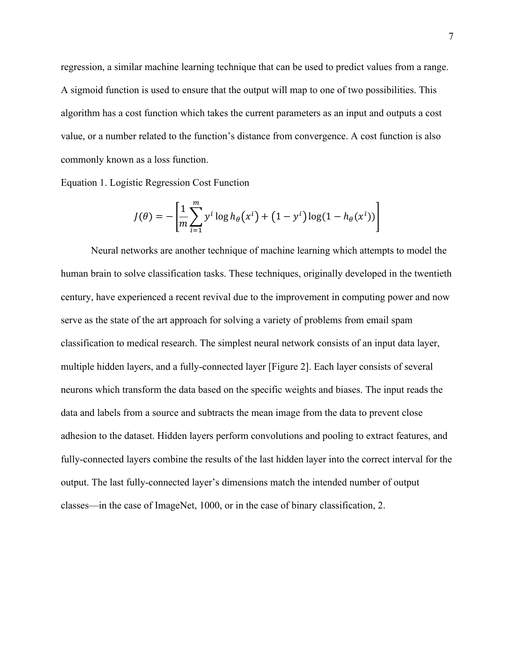regression, a similar machine learning technique that can be used to predict values from a range. A sigmoid function is used to ensure that the output will map to one of two possibilities. This algorithm has a cost function which takes the current parameters as an input and outputs a cost value, or a number related to the function's distance from convergence. A cost function is also commonly known as a loss function.

Equation 1. Logistic Regression Cost Function

$$
J(\theta) = -\left[\frac{1}{m} \sum_{i=1}^{m} y^{i} \log h_{\theta}(x^{i}) + (1 - y^{i}) \log(1 - h_{\theta}(x^{i}))\right]
$$

Neural networks are another technique of machine learning which attempts to model the human brain to solve classification tasks. These techniques, originally developed in the twentieth century, have experienced a recent revival due to the improvement in computing power and now serve as the state of the art approach for solving a variety of problems from email spam classification to medical research. The simplest neural network consists of an input data layer, multiple hidden layers, and a fully-connected layer [Figure 2]. Each layer consists of several neurons which transform the data based on the specific weights and biases. The input reads the data and labels from a source and subtracts the mean image from the data to prevent close adhesion to the dataset. Hidden layers perform convolutions and pooling to extract features, and fully-connected layers combine the results of the last hidden layer into the correct interval for the output. The last fully-connected layer's dimensions match the intended number of output classes—in the case of ImageNet, 1000, or in the case of binary classification, 2.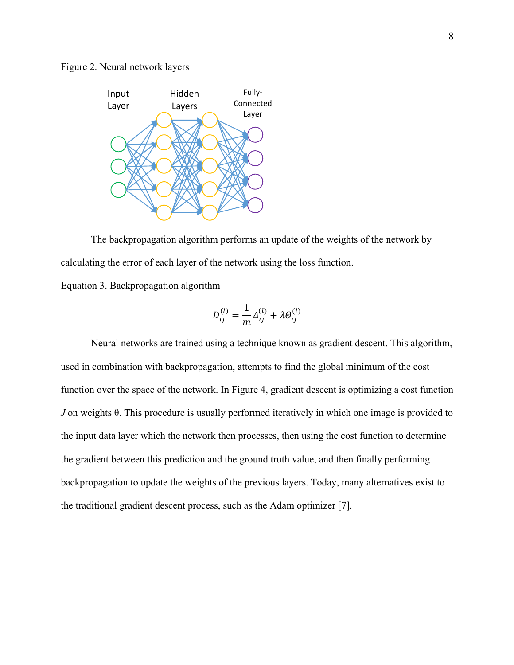#### Figure 2. Neural network layers



The backpropagation algorithm performs an update of the weights of the network by calculating the error of each layer of the network using the loss function.

Equation 3. Backpropagation algorithm

$$
D_{ij}^{(l)} = \frac{1}{m} \Delta_{ij}^{(l)} + \lambda \Theta_{ij}^{(l)}
$$

Neural networks are trained using a technique known as gradient descent. This algorithm, used in combination with backpropagation, attempts to find the global minimum of the cost function over the space of the network. In Figure 4, gradient descent is optimizing a cost function *J* on weights θ. This procedure is usually performed iteratively in which one image is provided to the input data layer which the network then processes, then using the cost function to determine the gradient between this prediction and the ground truth value, and then finally performing backpropagation to update the weights of the previous layers. Today, many alternatives exist to the traditional gradient descent process, such as the Adam optimizer [7].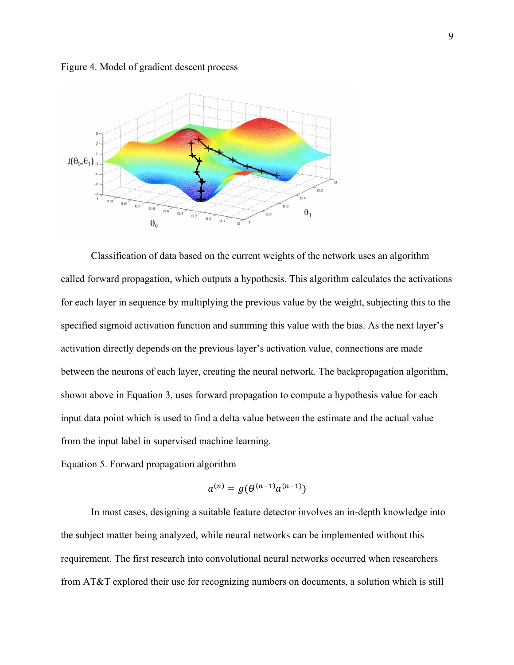Figure 4. Model of gradient descent process



Classification of data based on the current weights of the network uses an algorithm called forward propagation, which outputs a hypothesis. This algorithm calculates the activations for each layer in sequence by multiplying the previous value by the weight, subjecting this to the specified sigmoid activation function and summing this value with the bias. As the next layer's activation directly depends on the previous layer's activation value, connections are made between the neurons of each layer, creating the neural network. The backpropagation algorithm, shown above in Equation 3, uses forward propagation to compute a hypothesis value for each input data point which is used to find a delta value between the estimate and the actual value from the input label in supervised machine learning.

Equation 5. Forward propagation algorithm

$$
a^{(n)} = g(\Theta^{(n-1)}a^{(n-1)})
$$

In most cases, designing a suitable feature detector involves an in-depth knowledge into the subject matter being analyzed, while neural networks can be implemented without this requirement. The first research into convolutional neural networks occurred when researchers from AT&T explored their use for recognizing numbers on documents, a solution which is still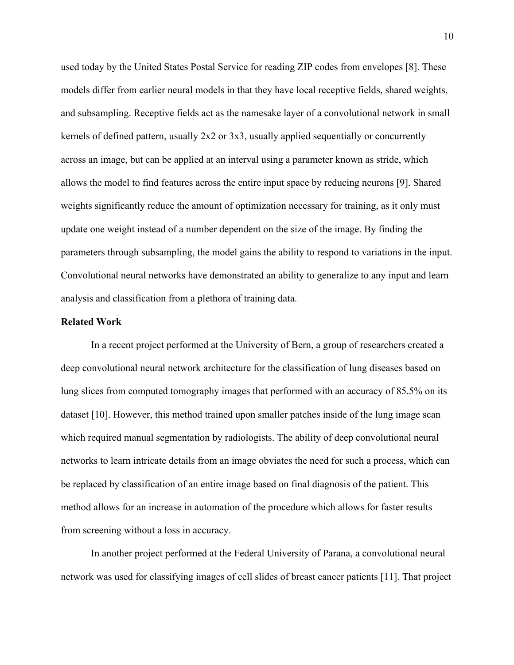used today by the United States Postal Service for reading ZIP codes from envelopes [8]. These models differ from earlier neural models in that they have local receptive fields, shared weights, and subsampling. Receptive fields act as the namesake layer of a convolutional network in small kernels of defined pattern, usually 2x2 or 3x3, usually applied sequentially or concurrently across an image, but can be applied at an interval using a parameter known as stride, which allows the model to find features across the entire input space by reducing neurons [9]. Shared weights significantly reduce the amount of optimization necessary for training, as it only must update one weight instead of a number dependent on the size of the image. By finding the parameters through subsampling, the model gains the ability to respond to variations in the input. Convolutional neural networks have demonstrated an ability to generalize to any input and learn analysis and classification from a plethora of training data.

#### **Related Work**

In a recent project performed at the University of Bern, a group of researchers created a deep convolutional neural network architecture for the classification of lung diseases based on lung slices from computed tomography images that performed with an accuracy of 85.5% on its dataset [10]. However, this method trained upon smaller patches inside of the lung image scan which required manual segmentation by radiologists. The ability of deep convolutional neural networks to learn intricate details from an image obviates the need for such a process, which can be replaced by classification of an entire image based on final diagnosis of the patient. This method allows for an increase in automation of the procedure which allows for faster results from screening without a loss in accuracy.

In another project performed at the Federal University of Parana, a convolutional neural network was used for classifying images of cell slides of breast cancer patients [11]. That project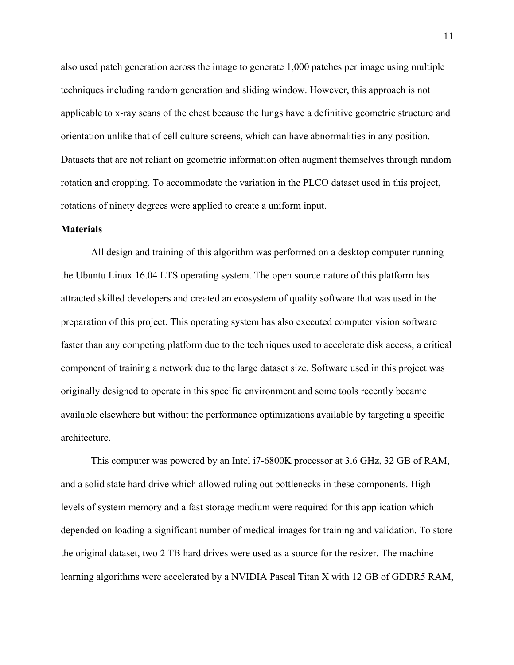also used patch generation across the image to generate 1,000 patches per image using multiple techniques including random generation and sliding window. However, this approach is not applicable to x-ray scans of the chest because the lungs have a definitive geometric structure and orientation unlike that of cell culture screens, which can have abnormalities in any position. Datasets that are not reliant on geometric information often augment themselves through random rotation and cropping. To accommodate the variation in the PLCO dataset used in this project, rotations of ninety degrees were applied to create a uniform input.

#### **Materials**

All design and training of this algorithm was performed on a desktop computer running the Ubuntu Linux 16.04 LTS operating system. The open source nature of this platform has attracted skilled developers and created an ecosystem of quality software that was used in the preparation of this project. This operating system has also executed computer vision software faster than any competing platform due to the techniques used to accelerate disk access, a critical component of training a network due to the large dataset size. Software used in this project was originally designed to operate in this specific environment and some tools recently became available elsewhere but without the performance optimizations available by targeting a specific architecture.

This computer was powered by an Intel i7-6800K processor at 3.6 GHz, 32 GB of RAM, and a solid state hard drive which allowed ruling out bottlenecks in these components. High levels of system memory and a fast storage medium were required for this application which depended on loading a significant number of medical images for training and validation. To store the original dataset, two 2 TB hard drives were used as a source for the resizer. The machine learning algorithms were accelerated by a NVIDIA Pascal Titan X with 12 GB of GDDR5 RAM,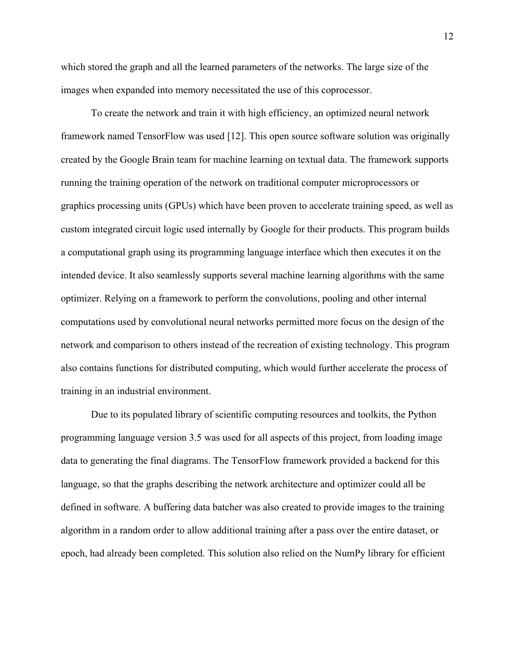which stored the graph and all the learned parameters of the networks. The large size of the images when expanded into memory necessitated the use of this coprocessor.

To create the network and train it with high efficiency, an optimized neural network framework named TensorFlow was used [12]. This open source software solution was originally created by the Google Brain team for machine learning on textual data. The framework supports running the training operation of the network on traditional computer microprocessors or graphics processing units (GPUs) which have been proven to accelerate training speed, as well as custom integrated circuit logic used internally by Google for their products. This program builds a computational graph using its programming language interface which then executes it on the intended device. It also seamlessly supports several machine learning algorithms with the same optimizer. Relying on a framework to perform the convolutions, pooling and other internal computations used by convolutional neural networks permitted more focus on the design of the network and comparison to others instead of the recreation of existing technology. This program also contains functions for distributed computing, which would further accelerate the process of training in an industrial environment.

Due to its populated library of scientific computing resources and toolkits, the Python programming language version 3.5 was used for all aspects of this project, from loading image data to generating the final diagrams. The TensorFlow framework provided a backend for this language, so that the graphs describing the network architecture and optimizer could all be defined in software. A buffering data batcher was also created to provide images to the training algorithm in a random order to allow additional training after a pass over the entire dataset, or epoch, had already been completed. This solution also relied on the NumPy library for efficient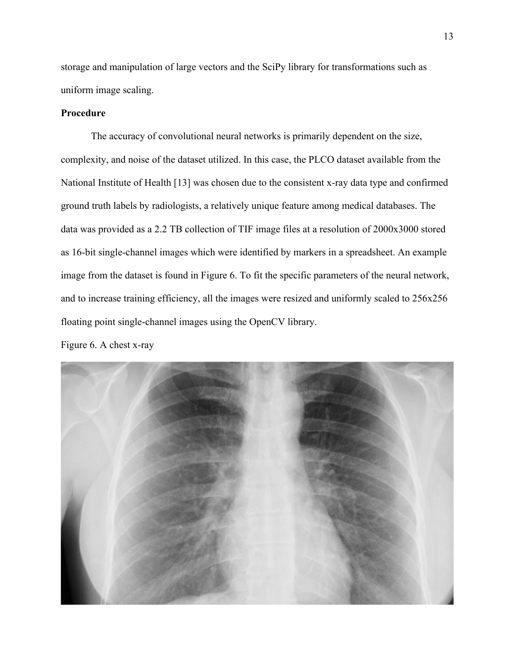storage and manipulation of large vectors and the SciPy library for transformations such as uniform image scaling.

## **Procedure**

The accuracy of convolutional neural networks is primarily dependent on the size, complexity, and noise of the dataset utilized. In this case, the PLCO dataset available from the National Institute of Health [13] was chosen due to the consistent x-ray data type and confirmed ground truth labels by radiologists, a relatively unique feature among medical databases. The data was provided as a 2.2 TB collection of TIF image files at a resolution of 2000x3000 stored as 16-bit single-channel images which were identified by markers in a spreadsheet. An example image from the dataset is found in Figure 6. To fit the specific parameters of the neural network, and to increase training efficiency, all the images were resized and uniformly scaled to 256x256 floating point single-channel images using the OpenCV library.

## Figure 6. A chest x-ray

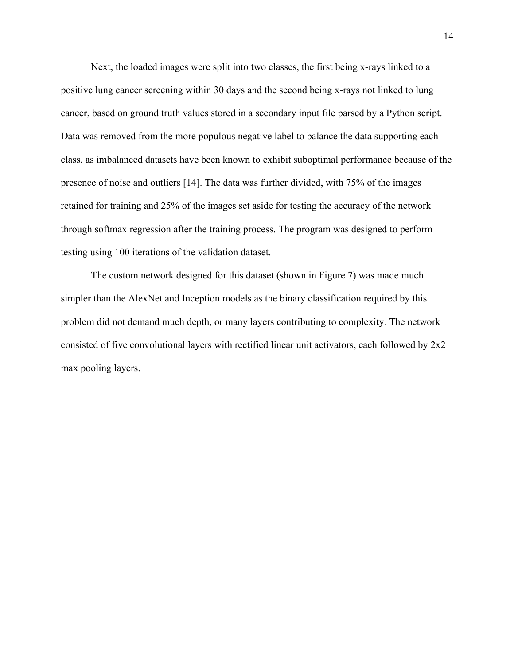Next, the loaded images were split into two classes, the first being x-rays linked to a positive lung cancer screening within 30 days and the second being x-rays not linked to lung cancer, based on ground truth values stored in a secondary input file parsed by a Python script. Data was removed from the more populous negative label to balance the data supporting each class, as imbalanced datasets have been known to exhibit suboptimal performance because of the presence of noise and outliers [14]. The data was further divided, with 75% of the images retained for training and 25% of the images set aside for testing the accuracy of the network through softmax regression after the training process. The program was designed to perform testing using 100 iterations of the validation dataset.

The custom network designed for this dataset (shown in Figure 7) was made much simpler than the AlexNet and Inception models as the binary classification required by this problem did not demand much depth, or many layers contributing to complexity. The network consisted of five convolutional layers with rectified linear unit activators, each followed by 2x2 max pooling layers.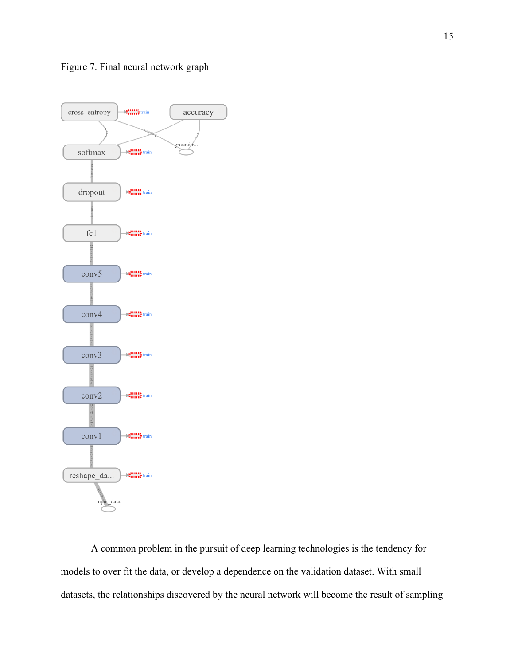

A common problem in the pursuit of deep learning technologies is the tendency for models to over fit the data, or develop a dependence on the validation dataset. With small datasets, the relationships discovered by the neural network will become the result of sampling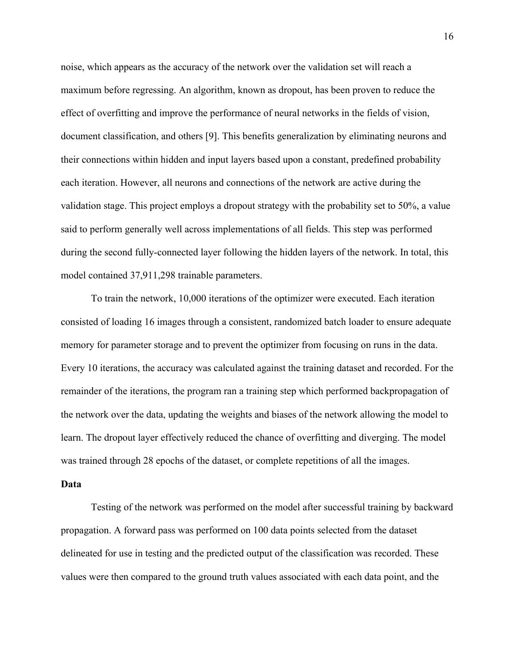noise, which appears as the accuracy of the network over the validation set will reach a maximum before regressing. An algorithm, known as dropout, has been proven to reduce the effect of overfitting and improve the performance of neural networks in the fields of vision, document classification, and others [9]. This benefits generalization by eliminating neurons and their connections within hidden and input layers based upon a constant, predefined probability each iteration. However, all neurons and connections of the network are active during the validation stage. This project employs a dropout strategy with the probability set to 50%, a value said to perform generally well across implementations of all fields. This step was performed during the second fully-connected layer following the hidden layers of the network. In total, this model contained 37,911,298 trainable parameters.

To train the network, 10,000 iterations of the optimizer were executed. Each iteration consisted of loading 16 images through a consistent, randomized batch loader to ensure adequate memory for parameter storage and to prevent the optimizer from focusing on runs in the data. Every 10 iterations, the accuracy was calculated against the training dataset and recorded. For the remainder of the iterations, the program ran a training step which performed backpropagation of the network over the data, updating the weights and biases of the network allowing the model to learn. The dropout layer effectively reduced the chance of overfitting and diverging. The model was trained through 28 epochs of the dataset, or complete repetitions of all the images.

#### **Data**

Testing of the network was performed on the model after successful training by backward propagation. A forward pass was performed on 100 data points selected from the dataset delineated for use in testing and the predicted output of the classification was recorded. These values were then compared to the ground truth values associated with each data point, and the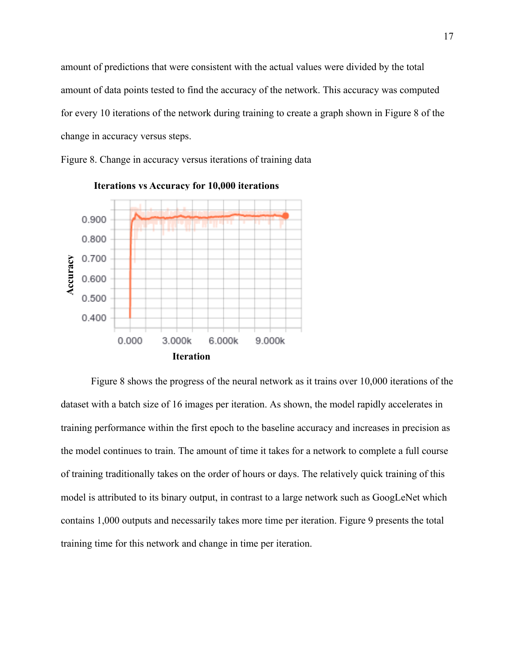amount of predictions that were consistent with the actual values were divided by the total amount of data points tested to find the accuracy of the network. This accuracy was computed for every 10 iterations of the network during training to create a graph shown in Figure 8 of the change in accuracy versus steps.

Figure 8. Change in accuracy versus iterations of training data

![](_page_16_Figure_2.jpeg)

**Iterations vs Accuracy for 10,000 iterations**

Figure 8 shows the progress of the neural network as it trains over 10,000 iterations of the dataset with a batch size of 16 images per iteration. As shown, the model rapidly accelerates in training performance within the first epoch to the baseline accuracy and increases in precision as the model continues to train. The amount of time it takes for a network to complete a full course of training traditionally takes on the order of hours or days. The relatively quick training of this model is attributed to its binary output, in contrast to a large network such as GoogLeNet which contains 1,000 outputs and necessarily takes more time per iteration. Figure 9 presents the total training time for this network and change in time per iteration.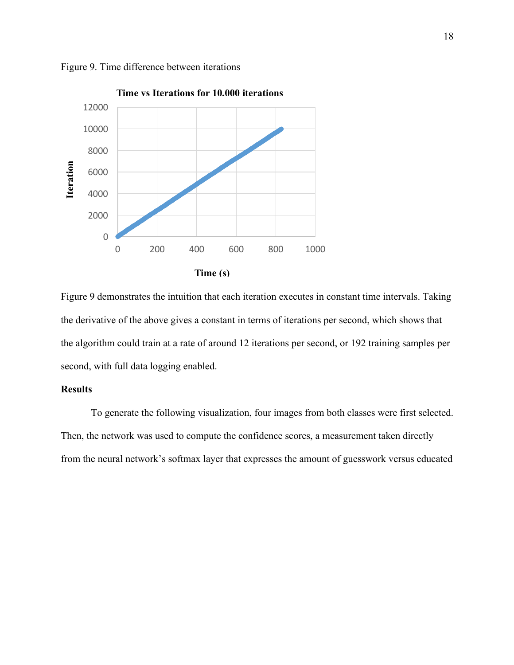![](_page_17_Figure_0.jpeg)

Figure 9. Time difference between iterations

Figure 9 demonstrates the intuition that each iteration executes in constant time intervals. Taking the derivative of the above gives a constant in terms of iterations per second, which shows that the algorithm could train at a rate of around 12 iterations per second, or 192 training samples per second, with full data logging enabled.

## **Results**

To generate the following visualization, four images from both classes were first selected. Then, the network was used to compute the confidence scores, a measurement taken directly from the neural network's softmax layer that expresses the amount of guesswork versus educated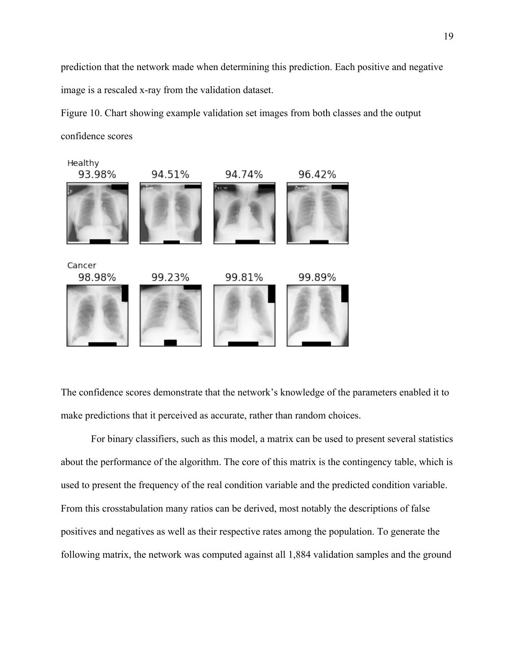prediction that the network made when determining this prediction. Each positive and negative image is a rescaled x-ray from the validation dataset.

Figure 10. Chart showing example validation set images from both classes and the output confidence scores

![](_page_18_Figure_2.jpeg)

The confidence scores demonstrate that the network's knowledge of the parameters enabled it to make predictions that it perceived as accurate, rather than random choices.

For binary classifiers, such as this model, a matrix can be used to present several statistics about the performance of the algorithm. The core of this matrix is the contingency table, which is used to present the frequency of the real condition variable and the predicted condition variable. From this crosstabulation many ratios can be derived, most notably the descriptions of false positives and negatives as well as their respective rates among the population. To generate the following matrix, the network was computed against all 1,884 validation samples and the ground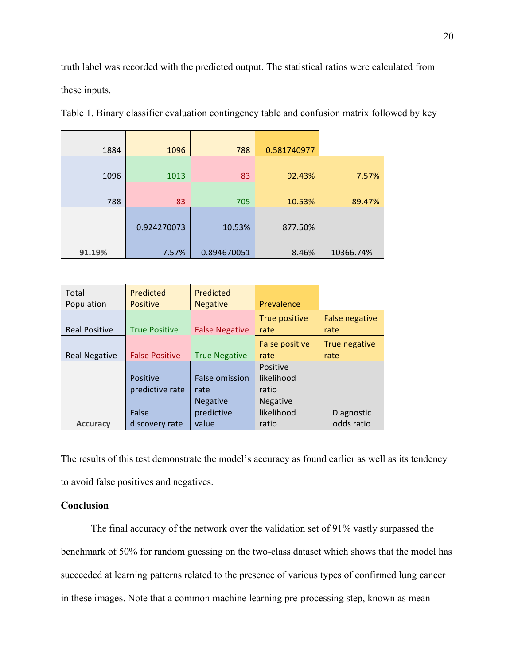truth label was recorded with the predicted output. The statistical ratios were calculated from these inputs.

| 1884   | 1096        | 788         | 0.581740977 |           |
|--------|-------------|-------------|-------------|-----------|
|        |             |             |             |           |
| 1096   | 1013        | 83          | 92.43%      | 7.57%     |
|        |             |             |             |           |
| 788    | 83          | 705         | 10.53%      | 89.47%    |
|        |             |             |             |           |
|        | 0.924270073 | 10.53%      | 877.50%     |           |
|        |             |             |             |           |
| 91.19% | 7.57%       | 0.894670051 | 8.46%       | 10366.74% |

Table 1. Binary classifier evaluation contingency table and confusion matrix followed by key

| Total                | Predicted             | Predicted             |                       |                               |
|----------------------|-----------------------|-----------------------|-----------------------|-------------------------------|
| Population           | <b>Positive</b>       | <b>Negative</b>       | Prevalence            |                               |
| <b>Real Positive</b> | <b>True Positive</b>  | <b>False Negative</b> | True positive<br>rate | <b>False negative</b><br>rate |
|                      |                       |                       | <b>False positive</b> | True negative                 |
| <b>Real Negative</b> | <b>False Positive</b> | <b>True Negative</b>  | rate                  | rate                          |
|                      |                       |                       | Positive              |                               |
|                      | Positive              | <b>False omission</b> | likelihood            |                               |
|                      | predictive rate       | rate                  | ratio                 |                               |
|                      |                       | <b>Negative</b>       | <b>Negative</b>       |                               |
|                      | False                 | predictive            | likelihood            | Diagnostic                    |
| <b>Accuracy</b>      | discovery rate        | value                 | ratio                 | odds ratio                    |

The results of this test demonstrate the model's accuracy as found earlier as well as its tendency to avoid false positives and negatives.

## **Conclusion**

The final accuracy of the network over the validation set of 91% vastly surpassed the benchmark of 50% for random guessing on the two-class dataset which shows that the model has succeeded at learning patterns related to the presence of various types of confirmed lung cancer in these images. Note that a common machine learning pre-processing step, known as mean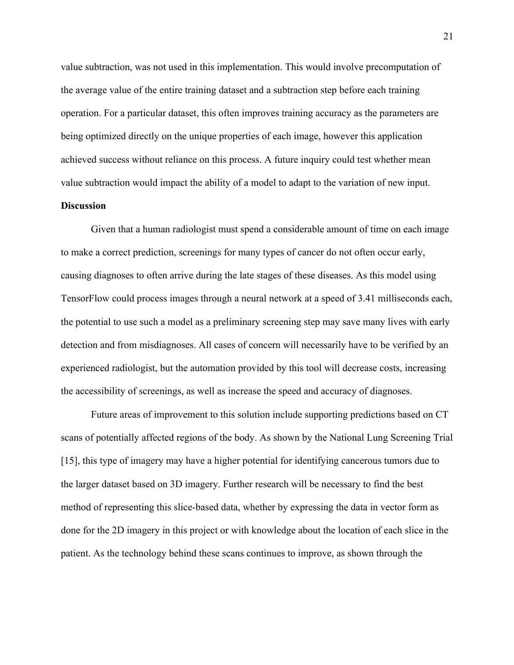value subtraction, was not used in this implementation. This would involve precomputation of the average value of the entire training dataset and a subtraction step before each training operation. For a particular dataset, this often improves training accuracy as the parameters are being optimized directly on the unique properties of each image, however this application achieved success without reliance on this process. A future inquiry could test whether mean value subtraction would impact the ability of a model to adapt to the variation of new input.

## **Discussion**

Given that a human radiologist must spend a considerable amount of time on each image to make a correct prediction, screenings for many types of cancer do not often occur early, causing diagnoses to often arrive during the late stages of these diseases. As this model using TensorFlow could process images through a neural network at a speed of 3.41 milliseconds each, the potential to use such a model as a preliminary screening step may save many lives with early detection and from misdiagnoses. All cases of concern will necessarily have to be verified by an experienced radiologist, but the automation provided by this tool will decrease costs, increasing the accessibility of screenings, as well as increase the speed and accuracy of diagnoses.

Future areas of improvement to this solution include supporting predictions based on CT scans of potentially affected regions of the body. As shown by the National Lung Screening Trial [15], this type of imagery may have a higher potential for identifying cancerous tumors due to the larger dataset based on 3D imagery. Further research will be necessary to find the best method of representing this slice-based data, whether by expressing the data in vector form as done for the 2D imagery in this project or with knowledge about the location of each slice in the patient. As the technology behind these scans continues to improve, as shown through the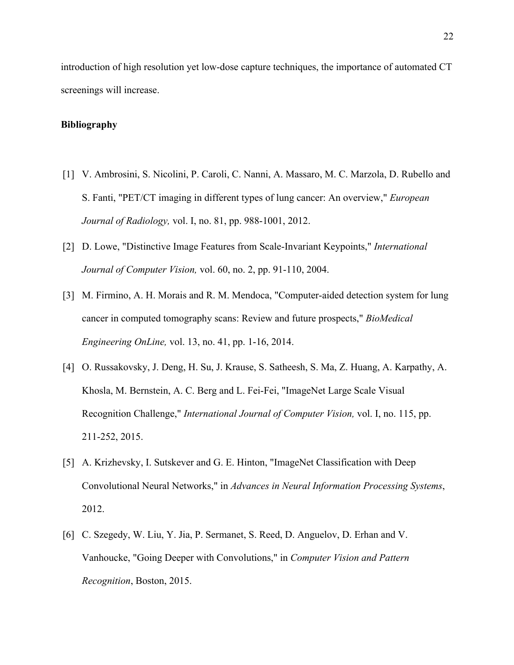introduction of high resolution yet low-dose capture techniques, the importance of automated CT screenings will increase.

## **Bibliography**

- [1] V. Ambrosini, S. Nicolini, P. Caroli, C. Nanni, A. Massaro, M. C. Marzola, D. Rubello and S. Fanti, "PET/CT imaging in different types of lung cancer: An overview," *European Journal of Radiology,* vol. I, no. 81, pp. 988-1001, 2012.
- [2] D. Lowe, "Distinctive Image Features from Scale-Invariant Keypoints," *International Journal of Computer Vision,* vol. 60, no. 2, pp. 91-110, 2004.
- [3] M. Firmino, A. H. Morais and R. M. Mendoca, "Computer-aided detection system for lung cancer in computed tomography scans: Review and future prospects," *BioMedical Engineering OnLine,* vol. 13, no. 41, pp. 1-16, 2014.
- [4] O. Russakovsky, J. Deng, H. Su, J. Krause, S. Satheesh, S. Ma, Z. Huang, A. Karpathy, A. Khosla, M. Bernstein, A. C. Berg and L. Fei-Fei, "ImageNet Large Scale Visual Recognition Challenge," *International Journal of Computer Vision,* vol. I, no. 115, pp. 211-252, 2015.
- [5] A. Krizhevsky, I. Sutskever and G. E. Hinton, "ImageNet Classification with Deep Convolutional Neural Networks," in *Advances in Neural Information Processing Systems*, 2012.
- [6] C. Szegedy, W. Liu, Y. Jia, P. Sermanet, S. Reed, D. Anguelov, D. Erhan and V. Vanhoucke, "Going Deeper with Convolutions," in *Computer Vision and Pattern Recognition*, Boston, 2015.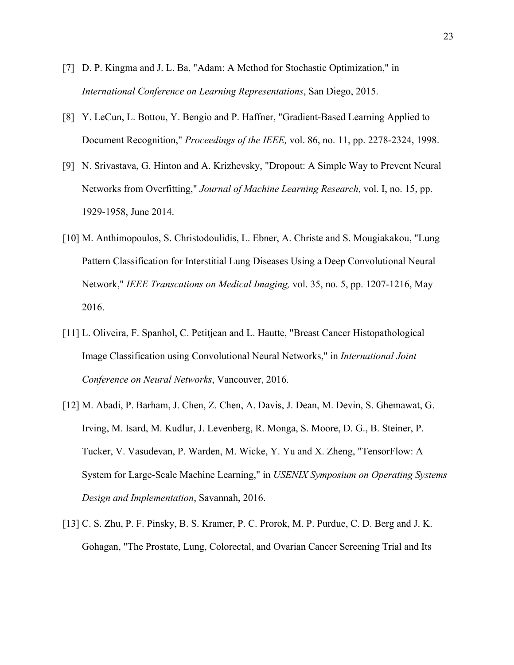- [7] D. P. Kingma and J. L. Ba, "Adam: A Method for Stochastic Optimization," in *International Conference on Learning Representations*, San Diego, 2015.
- [8] Y. LeCun, L. Bottou, Y. Bengio and P. Haffner, "Gradient-Based Learning Applied to Document Recognition," *Proceedings of the IEEE,* vol. 86, no. 11, pp. 2278-2324, 1998.
- [9] N. Srivastava, G. Hinton and A. Krizhevsky, "Dropout: A Simple Way to Prevent Neural Networks from Overfitting," *Journal of Machine Learning Research,* vol. I, no. 15, pp. 1929-1958, June 2014.
- [10] M. Anthimopoulos, S. Christodoulidis, L. Ebner, A. Christe and S. Mougiakakou, "Lung Pattern Classification for Interstitial Lung Diseases Using a Deep Convolutional Neural Network," *IEEE Transcations on Medical Imaging,* vol. 35, no. 5, pp. 1207-1216, May 2016.
- [11] L. Oliveira, F. Spanhol, C. Petitjean and L. Hautte, "Breast Cancer Histopathological Image Classification using Convolutional Neural Networks," in *International Joint Conference on Neural Networks*, Vancouver, 2016.
- [12] M. Abadi, P. Barham, J. Chen, Z. Chen, A. Davis, J. Dean, M. Devin, S. Ghemawat, G. Irving, M. Isard, M. Kudlur, J. Levenberg, R. Monga, S. Moore, D. G., B. Steiner, P. Tucker, V. Vasudevan, P. Warden, M. Wicke, Y. Yu and X. Zheng, "TensorFlow: A System for Large-Scale Machine Learning," in *USENIX Symposium on Operating Systems Design and Implementation*, Savannah, 2016.
- [13] C. S. Zhu, P. F. Pinsky, B. S. Kramer, P. C. Prorok, M. P. Purdue, C. D. Berg and J. K. Gohagan, "The Prostate, Lung, Colorectal, and Ovarian Cancer Screening Trial and Its